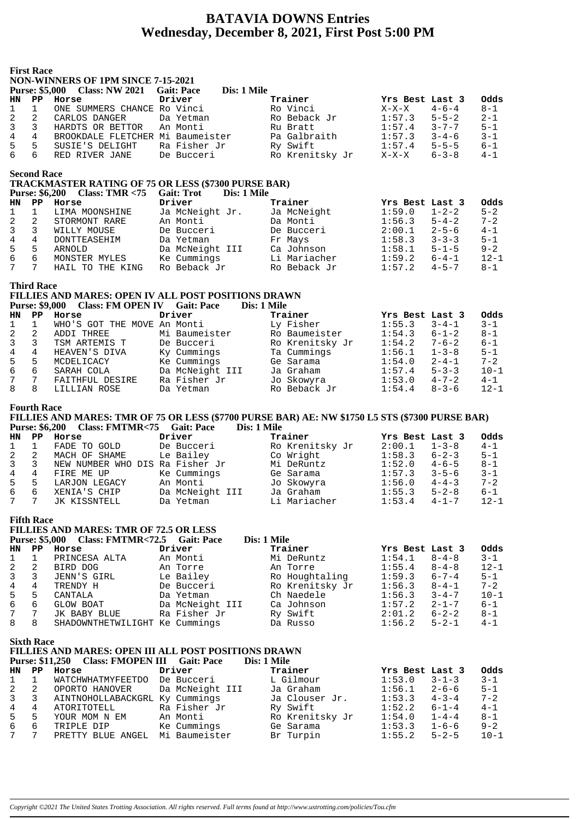### **BATAVIA DOWNS Entries Wednesday, December 8, 2021, First Post 5:00 PM**

| <b>First Race</b><br><b>NON-WINNERS OF 1PM SINCE 7-15-2021</b><br><b>Purse: \$5,000</b><br><b>Gait: Pace</b><br>Dis: 1 Mile<br><b>Class: NW 2021</b> |                                            |                                                                                                            |                                 |                                                                                                                |                  |                            |                     |
|------------------------------------------------------------------------------------------------------------------------------------------------------|--------------------------------------------|------------------------------------------------------------------------------------------------------------|---------------------------------|----------------------------------------------------------------------------------------------------------------|------------------|----------------------------|---------------------|
| <b>HN</b>                                                                                                                                            | $\mathbf{PP}$                              | Horse                                                                                                      | Driver                          | Trainer                                                                                                        | Yrs Best Last 3  |                            | Odds                |
| 1                                                                                                                                                    | $\mathbf{1}$                               | ONE SUMMERS CHANCE Ro Vinci                                                                                |                                 | Ro Vinci                                                                                                       | $X-X-X$          | $4 - 6 - 4$                | 8-1                 |
| 2                                                                                                                                                    | $\overline{a}$                             | CARLOS DANGER                                                                                              | Da Yetman                       | Ro Beback Jr                                                                                                   | 1:57.3           | $5 - 5 - 2$                | $2 - 1$             |
| 3                                                                                                                                                    | 3                                          | HARDTS OR BETTOR                                                                                           | An Monti                        | Ru Bratt                                                                                                       | 1:57.4           | $3 - 7 - 7$                | 5-1                 |
| 4                                                                                                                                                    | $4\overline{ }$                            | BROOKDALE FLETCHER Mi Baumeister                                                                           |                                 | Pa Galbraith                                                                                                   | 1:57.3           | $3 - 4 - 6$                | $3 - 1$             |
| 5                                                                                                                                                    | 5                                          | SUSIE'S DELIGHT                                                                                            | Ra Fisher Jr                    | Ry Swift                                                                                                       | 1:57.4           | $5 - 5 - 5$                | $6 - 1$             |
| 6                                                                                                                                                    | 6                                          | RED RIVER JANE                                                                                             | De Bucceri                      | Ro Krenitsky Jr                                                                                                | $X-X-X$          | $6 - 3 - 8$                | $4 - 1$             |
|                                                                                                                                                      |                                            |                                                                                                            |                                 |                                                                                                                |                  |                            |                     |
|                                                                                                                                                      | <b>Second Race</b>                         |                                                                                                            |                                 |                                                                                                                |                  |                            |                     |
|                                                                                                                                                      |                                            | <b>TRACKMASTER RATING OF 75 OR LESS (\$7300 PURSE BAR)</b>                                                 |                                 |                                                                                                                |                  |                            |                     |
|                                                                                                                                                      | <b>Purse: \$6,200</b>                      | Class: TMR $< 75$                                                                                          | <b>Gait: Trot</b>               | Dis: 1 Mile                                                                                                    |                  |                            |                     |
| <b>HN</b>                                                                                                                                            | PP                                         | Horse                                                                                                      | Driver                          | Trainer                                                                                                        | Yrs Best Last 3  |                            | Odds                |
| 1                                                                                                                                                    | $\mathbf{1}$                               | LIMA MOONSHINE                                                                                             | Ja McNeight Jr.                 | Ja McNeight                                                                                                    | 1:59.0           | $1 - 2 - 2$                | $5 - 2$             |
| 2                                                                                                                                                    | $\overline{2}$<br>3 <sup>7</sup>           | STORMONT RARE                                                                                              | An Monti                        | Da Monti                                                                                                       | 1:56.3<br>2:00.1 | $5 - 4 - 2$<br>$2 - 5 - 6$ | $7 - 2$             |
| 3<br>$\sqrt{4}$                                                                                                                                      | $4\degree$                                 | WILLY MOUSE<br>DONTTEASEHIM                                                                                | De Bucceri<br>Da Yetman         | De Bucceri<br>Fr Mays                                                                                          | 1:58.3           | $3 - 3 - 3$                | $4 - 1$<br>$5 - 1$  |
| 5                                                                                                                                                    |                                            | 5 ARNOLD                                                                                                   | Da McNeight III                 | Ca Johnson                                                                                                     | 1:58.1           | $5 - 1 - 5$                | $9 - 2$             |
| 6                                                                                                                                                    | 6                                          | MONSTER MYLES                                                                                              | Ke Cummings                     | Li Mariacher                                                                                                   | 1:59.2           | $6 - 4 - 1$                | $12 - 1$            |
| $7\phantom{.0}$                                                                                                                                      | 7                                          | HAIL TO THE KING                                                                                           | Ro Beback Jr                    | Ro Beback Jr                                                                                                   | 1:57.2           | $4 - 5 - 7$                | $8 - 1$             |
|                                                                                                                                                      |                                            |                                                                                                            |                                 |                                                                                                                |                  |                            |                     |
|                                                                                                                                                      | <b>Third Race</b>                          |                                                                                                            |                                 |                                                                                                                |                  |                            |                     |
|                                                                                                                                                      |                                            | FILLIES AND MARES: OPEN IV ALL POST POSITIONS DRAWN                                                        |                                 |                                                                                                                |                  |                            |                     |
|                                                                                                                                                      | <b>Purse: \$9,000</b>                      | <b>Class: FM OPEN IV Gait: Pace</b>                                                                        |                                 | Dis: 1 Mile                                                                                                    |                  |                            |                     |
| <b>HN</b>                                                                                                                                            | $\mathbf{PP}$                              | Horse                                                                                                      | Driver                          | Trainer                                                                                                        | Yrs Best Last 3  |                            | Odds                |
| $\mathbf{1}$                                                                                                                                         | $\mathbf 1$                                | WHO'S GOT THE MOVE An Monti                                                                                |                                 | Ly Fisher                                                                                                      | 1:55.3           | $3 - 4 - 1$                | $3 - 1$             |
| 2                                                                                                                                                    | 2                                          | ADDI THREE                                                                                                 | Mi Baumeister                   | Ro Baumeister                                                                                                  | 1:54.3           | $6 - 1 - 2$                | $8 - 1$             |
| 3                                                                                                                                                    | 3                                          | TSM ARTEMIS T                                                                                              | De Bucceri                      | Ro Krenitsky Jr                                                                                                | 1:54.2           | $7 - 6 - 2$                | 6-1                 |
| $\overline{4}$                                                                                                                                       | $\overline{4}$                             | HEAVEN'S DIVA                                                                                              | Ky Cummings                     | Ta Cummings                                                                                                    | 1:56.1           | $1 - 3 - 8$                | $5 - 1$             |
| 5                                                                                                                                                    | 5                                          | MCDELICACY                                                                                                 | Ke Cummings                     | Ge Sarama                                                                                                      | 1:54.0           | $2 - 4 - 1$                | $7 - 2$             |
| 6<br>$7\phantom{.0}$                                                                                                                                 | $7\overline{ }$                            | 6 SARAH COLA                                                                                               | Da McNeight III<br>Ra Fisher Jr | Ja Graham<br>Jo Skowyra                                                                                        | 1:57.4<br>1:53.0 | $5 - 3 - 3$<br>$4 - 7 - 2$ | $10 - 1$<br>$4 - 1$ |
| 8                                                                                                                                                    | 8                                          | FAITHFUL DESIRE<br>LILLIAN ROSE                                                                            | Da Yetman                       | Ro Beback Jr                                                                                                   | 1:54.4           | $8 - 3 - 6$                | $12 - 1$            |
|                                                                                                                                                      |                                            |                                                                                                            |                                 |                                                                                                                |                  |                            |                     |
| <b>Purse: \$6,200</b>                                                                                                                                | <b>Fourth Race</b>                         | Class: FMTMR<75 Gait: Pace                                                                                 |                                 | FILLIES AND MARES: TMR OF 75 OR LESS (\$7700 PURSE BAR) AE: NW \$1750 L5 STS (\$7300 PURSE BAR)<br>Dis: 1 Mile |                  |                            |                     |
|                                                                                                                                                      |                                            |                                                                                                            |                                 |                                                                                                                |                  |                            |                     |
| <b>HN</b>                                                                                                                                            |                                            | PP Horse                                                                                                   | Driver                          | Trainer                                                                                                        | Yrs Best Last 3  |                            | Odds                |
| $\mathbf{1}$                                                                                                                                         | $\mathbf 1$                                | FADE TO GOLD                                                                                               | De Bucceri                      | Ro Krenitsky Jr                                                                                                | 2:00.1           | $1 - 3 - 8$                | $4 - 1$             |
| 2                                                                                                                                                    | 2                                          | MACH OF SHAME                                                                                              | Le Bailey                       | Co Wright                                                                                                      | 1:58.3           | $6 - 2 - 3$                | 5-1                 |
| 3                                                                                                                                                    | 3                                          | NEW NUMBER WHO DIS Ra Fisher Jr                                                                            |                                 | Mi DeRuntz                                                                                                     | 1:52.0           | $4 - 6 - 5$                | $8 - 1$             |
| $\sqrt{4}$                                                                                                                                           | $\overline{4}$                             | FIRE ME UP                                                                                                 | Ke Cummings                     | Ge Sarama                                                                                                      | 1:57.3           | $3 - 5 - 6$                | $3 - 1$             |
| 5<br>6                                                                                                                                               | 5<br>6                                     | LARJON LEGACY                                                                                              | An Monti                        | Jo Skowyra                                                                                                     | 1:56.0           | $4 - 4 - 3$                | $7 - 2$             |
| 7                                                                                                                                                    | 7                                          | XENIA'S CHIP<br>JK KISSNTELL                                                                               | Da McNeight III<br>Da Yetman    | Ja Graham<br>Li Mariacher                                                                                      | 1:55.3<br>1:53.4 | $5 - 2 - 8$<br>$4 - 1 - 7$ | $6 - 1$<br>$12 - 1$ |
|                                                                                                                                                      | <b>Fifth Race</b><br><b>Purse: \$5,000</b> | <b>FILLIES AND MARES: TMR OF 72.5 OR LESS</b><br><b>Class: FMTMR&lt;72.5</b>                               | <b>Gait: Pace</b>               | Dis: 1 Mile                                                                                                    |                  |                            |                     |
| <b>HN</b>                                                                                                                                            | PP                                         | Horse                                                                                                      | Driver                          | Trainer                                                                                                        | Yrs Best Last 3  |                            | Odds                |
| 1                                                                                                                                                    | $\mathbf{1}$                               | PRINCESA ALTA                                                                                              | An Monti                        | Mi DeRuntz                                                                                                     | 1:54.1           | $8 - 4 - 8$                | $3 - 1$             |
| 2                                                                                                                                                    | 2                                          | BIRD DOG                                                                                                   | An Torre                        | An Torre                                                                                                       | 1:55.4           | $8 - 4 - 8$                | $12 - 1$            |
| 3                                                                                                                                                    | 3                                          | JENN'S GIRL                                                                                                | Le Bailey                       | Ro Houghtaling                                                                                                 | 1:59.3           | $6 - 7 - 4$                | 5-1                 |
| 4                                                                                                                                                    | 4                                          | TRENDY H                                                                                                   | De Bucceri                      | Ro Krenitsky Jr                                                                                                | 1:56.3           | $8 - 4 - 1$                | $7 - 2$             |
| 5                                                                                                                                                    | 5                                          | CANTALA                                                                                                    | Da Yetman                       | Ch Naedele                                                                                                     | 1:56.3           | $3 - 4 - 7$                | $10 - 1$            |
| 6                                                                                                                                                    | 6                                          | GLOW BOAT                                                                                                  | Da McNeight III                 | Ca Johnson                                                                                                     | 1:57.2           | $2 - 1 - 7$                | 6-1                 |
| 7                                                                                                                                                    | 7                                          | JK BABY BLUE                                                                                               | Ra Fisher Jr                    | Ry Swift                                                                                                       | 2:01.2           | $6 - 2 - 2$                | $8 - 1$             |
| 8                                                                                                                                                    | 8                                          | SHADOWNTHETWILIGHT Ke Cummings                                                                             |                                 | Da Russo                                                                                                       | 1:56.2           | $5 - 2 - 1$                | $4 - 1$             |
|                                                                                                                                                      | <b>Sixth Race</b>                          | FILLIES AND MARES: OPEN III ALL POST POSITIONS DRAWN<br><b>Purse: \$11,250</b><br><b>Class: FMOPEN III</b> | <b>Gait: Pace</b>               | Dis: 1 Mile                                                                                                    |                  |                            |                     |
| <b>HN</b>                                                                                                                                            | $\mathbf{P} \mathbf{P}$                    | Horse                                                                                                      | Driver                          | Trainer                                                                                                        | Yrs Best Last 3  |                            | Odds                |
| 1                                                                                                                                                    | $\mathbf 1$                                | WATCHWHATMYFEETDO                                                                                          | De Bucceri                      | L Gilmour                                                                                                      | 1:53.0           | $3 - 1 - 3$                | $3 - 1$             |
| 2                                                                                                                                                    | 2                                          | OPORTO HANOVER                                                                                             | Da McNeight III                 | Ja Graham                                                                                                      | 1:56.1           | $2 - 6 - 6$                | $5 - 1$             |
| 3                                                                                                                                                    | 3                                          | AINTNOHOLLABACKGRL Ky Cummings                                                                             |                                 | Ja Clouser Jr.                                                                                                 | 1:53.3           | $4 - 3 - 4$                | $7 - 2$             |
| 4                                                                                                                                                    | $\overline{4}$                             | ATORITOTELL                                                                                                | Ra Fisher Jr                    | Ry Swift                                                                                                       | 1:52.2           | $6 - 1 - 4$                | $4 - 1$             |
| 5                                                                                                                                                    | 5                                          | YOUR MOM N EM                                                                                              | An Monti                        | Ro Krenitsky Jr                                                                                                | 1:54.0           | $1 - 4 - 4$                | $8 - 1$             |
| 6                                                                                                                                                    | 6                                          | TRIPLE DIP                                                                                                 | Ke Cummings                     | Ge Sarama                                                                                                      | 1:53.3           | $1 - 6 - 6$                | $9 - 2$             |
| 7                                                                                                                                                    | 7                                          | PRETTY BLUE ANGEL Mi Baumeister                                                                            |                                 | Br Turpin                                                                                                      | 1:55.2           | $5 - 2 - 5$                | $10 - 1$            |